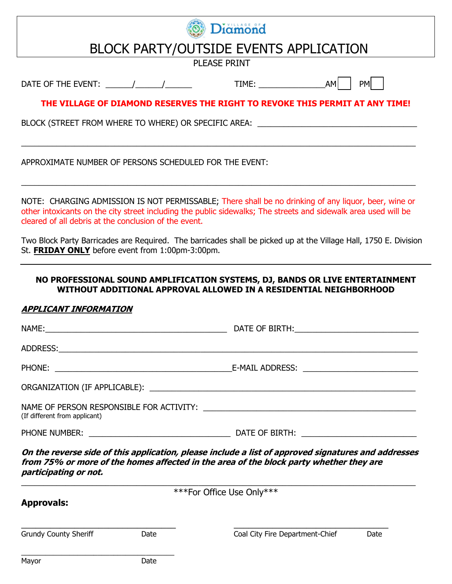

# BLOCK PARTY/OUTSIDE EVENTS APPLICATION

PLEASE PRINT

DATE OF THE EVENT:  $\begin{array}{ccc} & / & / \end{array}$   $\begin{array}{ccc} & & \\ \end{array}$  TIME:  $\begin{array}{ccc} & & \\ \end{array}$  AM PM

## **THE VILLAGE OF DIAMOND RESERVES THE RIGHT TO REVOKE THIS PERMIT AT ANY TIME!**

BLOCK (STREET FROM WHERE TO WHERE) OR SPECIFIC AREA:

APPROXIMATE NUMBER OF PERSONS SCHEDULED FOR THE EVENT:

NOTE: CHARGING ADMISSION IS NOT PERMISSABLE; There shall be no drinking of any liquor, beer, wine or other intoxicants on the city street including the public sidewalks; The streets and sidewalk area used will be cleared of all debris at the conclusion of the event.

 $\_$  , and the set of the set of the set of the set of the set of the set of the set of the set of the set of the set of the set of the set of the set of the set of the set of the set of the set of the set of the set of th

\_\_\_\_\_\_\_\_\_\_\_\_\_\_\_\_\_\_\_\_\_\_\_\_\_\_\_\_\_\_\_\_\_\_\_\_\_\_\_\_\_\_\_\_\_\_\_\_\_\_\_\_\_\_\_\_\_\_\_\_\_\_\_\_\_\_\_\_\_\_\_\_\_\_\_\_\_\_\_\_\_\_\_\_\_\_\_\_\_

Two Block Party Barricades are Required. The barricades shall be picked up at the Village Hall, 1750 E. Division St. **FRIDAY ONLY** before event from 1:00pm-3:00pm.

#### **NO PROFESSIONAL SOUND AMPLIFICATION SYSTEMS, DJ, BANDS OR LIVE ENTERTAINMENT WITHOUT ADDITIONAL APPROVAL ALLOWED IN A RESIDENTIAL NEIGHBORHOOD**

#### **APPLICANT INFORMATION**

| On the reverse side of this annlication, please include a list of approved signatures and addresses                                                |  |
|----------------------------------------------------------------------------------------------------------------------------------------------------|--|
|                                                                                                                                                    |  |
| NAME OF PERSON RESPONSIBLE FOR ACTIVITY: \\contain \\contained\\contained\\contained\\contained\\contained\\conta<br>(If different from applicant) |  |
|                                                                                                                                                    |  |
|                                                                                                                                                    |  |
|                                                                                                                                                    |  |
|                                                                                                                                                    |  |
|                                                                                                                                                    |  |

**On the reverse side of this application, please include a list of approved signatures and addresses from 75% or more of the homes affected in the area of the block party whether they are participating or not.**

| ***For Office Use Only***<br><b>Approvals:</b> |      |                                 |      |
|------------------------------------------------|------|---------------------------------|------|
| <b>Grundy County Sheriff</b>                   | Date | Coal City Fire Department-Chief | Date |
| Mayor                                          | Date |                                 |      |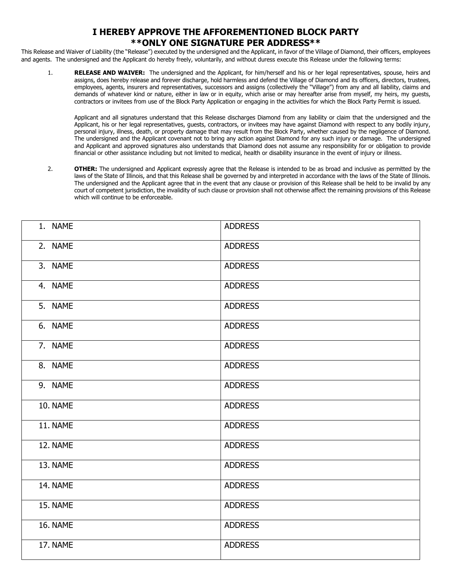### **I HEREBY APPROVE THE AFFOREMENTIONED BLOCK PARTY \*\*ONLY ONE SIGNATURE PER ADDRESS\*\***

This Release and Waiver of Liability (the "Release") executed by the undersigned and the Applicant, in favor of the Village of Diamond, their officers, employees and agents. The undersigned and the Applicant do hereby freely, voluntarily, and without duress execute this Release under the following terms:

1. **RELEASE AND WAIVER:** The undersigned and the Applicant, for him/herself and his or her legal representatives, spouse, heirs and assigns, does hereby release and forever discharge, hold harmless and defend the Village of Diamond and its officers, directors, trustees, employees, agents, insurers and representatives, successors and assigns (collectively the "Village") from any and all liability, claims and demands of whatever kind or nature, either in law or in equity, which arise or may hereafter arise from myself, my heirs, my guests, contractors or invitees from use of the Block Party Application or engaging in the activities for which the Block Party Permit is issued.

Applicant and all signatures understand that this Release discharges Diamond from any liability or claim that the undersigned and the Applicant, his or her legal representatives, guests, contractors, or invitees may have against Diamond with respect to any bodily injury, personal injury, illness, death, or property damage that may result from the Block Party, whether caused by the negligence of Diamond. The undersigned and the Applicant covenant not to bring any action against Diamond for any such injury or damage. The undersigned and Applicant and approved signatures also understands that Diamond does not assume any responsibility for or obligation to provide financial or other assistance including but not limited to medical, health or disability insurance in the event of injury or illness.

2. **OTHER:** The undersigned and Applicant expressly agree that the Release is intended to be as broad and inclusive as permitted by the laws of the State of Illinois, and that this Release shall be governed by and interpreted in accordance with the laws of the State of Illinois. The undersigned and the Applicant agree that in the event that any clause or provision of this Release shall be held to be invalid by any court of competent jurisdiction, the invalidity of such clause or provision shall not otherwise affect the remaining provisions of this Release which will continue to be enforceable.

| 1. NAME                | <b>ADDRESS</b> |
|------------------------|----------------|
| 2. NAME                | <b>ADDRESS</b> |
| 3. NAME                | <b>ADDRESS</b> |
| 4. NAME                | <b>ADDRESS</b> |
| 5. NAME                | <b>ADDRESS</b> |
| 6. NAME                | <b>ADDRESS</b> |
| 7. NAME                | <b>ADDRESS</b> |
| 8. NAME                | <b>ADDRESS</b> |
| 9. NAME                | <b>ADDRESS</b> |
| 10. NAME               | <b>ADDRESS</b> |
| 11. NAME               | <b>ADDRESS</b> |
| 12. NAME               | <b>ADDRESS</b> |
| $\overline{13}$ . NAME | <b>ADDRESS</b> |
| 14. NAME               | <b>ADDRESS</b> |
| 15. NAME               | <b>ADDRESS</b> |
| 16. NAME               | <b>ADDRESS</b> |
| 17. NAME               | <b>ADDRESS</b> |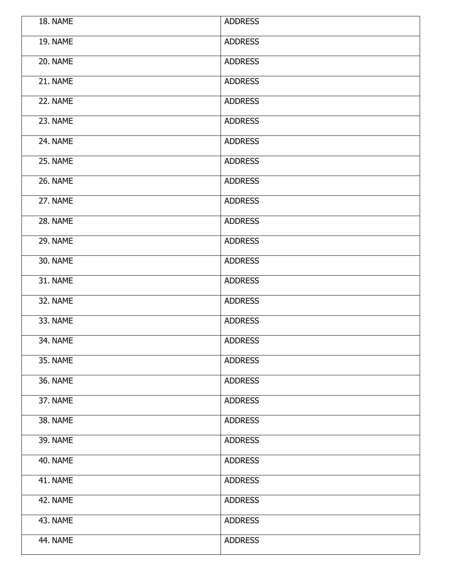| 18. NAME | <b>ADDRESS</b> |
|----------|----------------|
| 19. NAME | <b>ADDRESS</b> |
| 20. NAME | <b>ADDRESS</b> |
| 21. NAME | <b>ADDRESS</b> |
| 22. NAME | <b>ADDRESS</b> |
| 23. NAME | <b>ADDRESS</b> |
| 24. NAME | <b>ADDRESS</b> |
| 25. NAME | <b>ADDRESS</b> |
| 26. NAME | <b>ADDRESS</b> |
| 27. NAME | <b>ADDRESS</b> |
| 28. NAME | <b>ADDRESS</b> |
| 29. NAME | <b>ADDRESS</b> |
| 30. NAME | <b>ADDRESS</b> |
| 31. NAME | <b>ADDRESS</b> |
| 32. NAME | <b>ADDRESS</b> |
| 33. NAME | <b>ADDRESS</b> |
| 34. NAME | <b>ADDRESS</b> |
| 35. NAME | <b>ADDRESS</b> |
| 36. NAME | <b>ADDRESS</b> |
| 37. NAME | <b>ADDRESS</b> |
| 38. NAME | <b>ADDRESS</b> |
| 39. NAME | <b>ADDRESS</b> |
| 40. NAME | <b>ADDRESS</b> |
| 41. NAME | <b>ADDRESS</b> |
| 42. NAME | <b>ADDRESS</b> |
| 43. NAME | <b>ADDRESS</b> |
| 44. NAME | <b>ADDRESS</b> |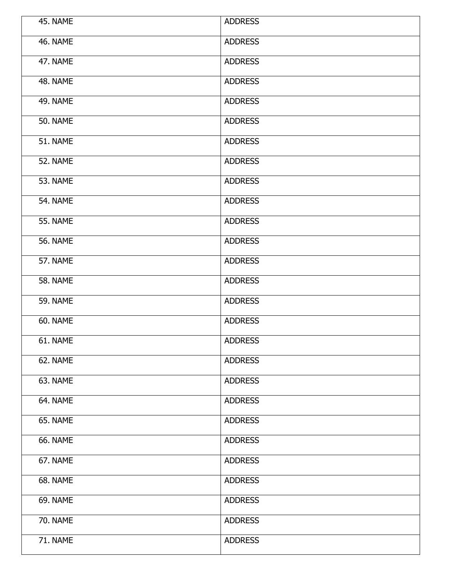| 45. NAME        | <b>ADDRESS</b> |
|-----------------|----------------|
| 46. NAME        | <b>ADDRESS</b> |
| 47. NAME        | <b>ADDRESS</b> |
| 48. NAME        | <b>ADDRESS</b> |
| <b>49. NAME</b> | <b>ADDRESS</b> |
| <b>50. NAME</b> | <b>ADDRESS</b> |
| 51. NAME        | <b>ADDRESS</b> |
| 52. NAME        | <b>ADDRESS</b> |
| 53. NAME        | <b>ADDRESS</b> |
| 54. NAME        | <b>ADDRESS</b> |
| <b>55. NAME</b> | <b>ADDRESS</b> |
| <b>56. NAME</b> | <b>ADDRESS</b> |
| 57. NAME        | <b>ADDRESS</b> |
| <b>58. NAME</b> | <b>ADDRESS</b> |
| <b>59. NAME</b> | <b>ADDRESS</b> |
| 60. NAME        | <b>ADDRESS</b> |
| 61. NAME        | <b>ADDRESS</b> |
| 62. NAME        | <b>ADDRESS</b> |
| 63. NAME        | <b>ADDRESS</b> |
| 64. NAME        | <b>ADDRESS</b> |
| 65. NAME        | <b>ADDRESS</b> |
| 66. NAME        | ADDRESS        |
| 67. NAME        | <b>ADDRESS</b> |
| 68. NAME        | <b>ADDRESS</b> |
| 69. NAME        | <b>ADDRESS</b> |
| <b>70. NAME</b> | <b>ADDRESS</b> |
| 71. NAME        | <b>ADDRESS</b> |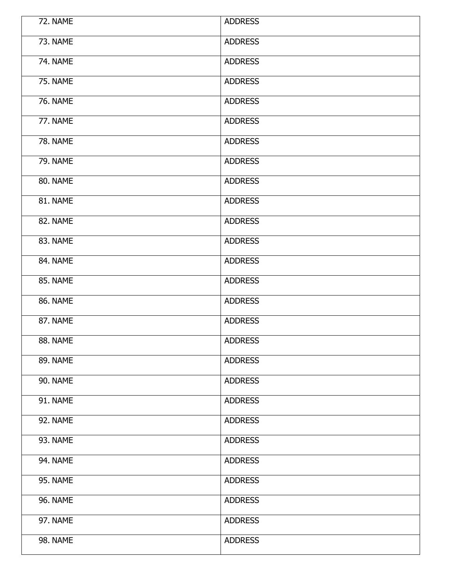| 72. NAME        | <b>ADDRESS</b> |
|-----------------|----------------|
| 73. NAME        | <b>ADDRESS</b> |
| <b>74. NAME</b> | <b>ADDRESS</b> |
| 75. NAME        | <b>ADDRESS</b> |
| <b>76. NAME</b> | <b>ADDRESS</b> |
| 77. NAME        | <b>ADDRESS</b> |
| <b>78. NAME</b> | <b>ADDRESS</b> |
| <b>79. NAME</b> | <b>ADDRESS</b> |
| 80. NAME        | <b>ADDRESS</b> |
| 81. NAME        | <b>ADDRESS</b> |
| 82. NAME        | <b>ADDRESS</b> |
| 83. NAME        | <b>ADDRESS</b> |
| 84. NAME        | <b>ADDRESS</b> |
| 85. NAME        | <b>ADDRESS</b> |
| 86. NAME        | <b>ADDRESS</b> |
| 87. NAME        | <b>ADDRESS</b> |
| 88. NAME        | <b>ADDRESS</b> |
| 89. NAME        | <b>ADDRESS</b> |
| 90. NAME        | <b>ADDRESS</b> |
| 91. NAME        | <b>ADDRESS</b> |
| 92. NAME        | <b>ADDRESS</b> |
| 93. NAME        | <b>ADDRESS</b> |
| 94. NAME        | <b>ADDRESS</b> |
| 95. NAME        | <b>ADDRESS</b> |
| 96. NAME        | <b>ADDRESS</b> |
| 97. NAME        | <b>ADDRESS</b> |
| 98. NAME        | <b>ADDRESS</b> |